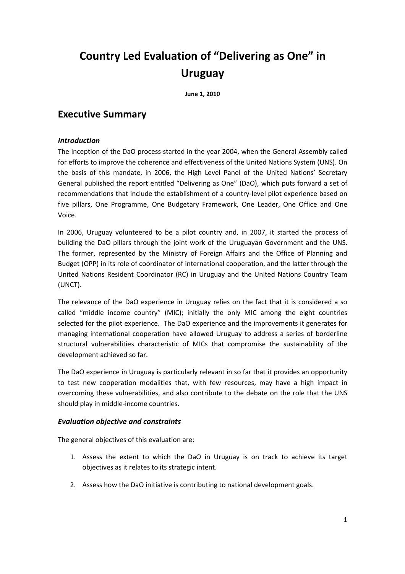# Country Led Evaluation of "Delivering as One" in Uruguay

June 1, 2010

# Executive Summary

# Introduction

The inception of the DaO process started in the year 2004, when the General Assembly called for efforts to improve the coherence and effectiveness of the United Nations System (UNS). On the basis of this mandate, in 2006, the High Level Panel of the United Nations' Secretary General published the report entitled "Delivering as One" (DaO), which puts forward a set of recommendations that include the establishment of a country-level pilot experience based on five pillars, One Programme, One Budgetary Framework, One Leader, One Office and One Voice.

In 2006, Uruguay volunteered to be a pilot country and, in 2007, it started the process of building the DaO pillars through the joint work of the Uruguayan Government and the UNS. The former, represented by the Ministry of Foreign Affairs and the Office of Planning and Budget (OPP) in its role of coordinator of international cooperation, and the latter through the United Nations Resident Coordinator (RC) in Uruguay and the United Nations Country Team (UNCT).

The relevance of the DaO experience in Uruguay relies on the fact that it is considered a so called "middle income country" (MIC); initially the only MIC among the eight countries selected for the pilot experience. The DaO experience and the improvements it generates for managing international cooperation have allowed Uruguay to address a series of borderline structural vulnerabilities characteristic of MICs that compromise the sustainability of the development achieved so far.

The DaO experience in Uruguay is particularly relevant in so far that it provides an opportunity to test new cooperation modalities that, with few resources, may have a high impact in overcoming these vulnerabilities, and also contribute to the debate on the role that the UNS should play in middle-income countries.

# Evaluation objective and constraints

The general objectives of this evaluation are:

- 1. Assess the extent to which the DaO in Uruguay is on track to achieve its target objectives as it relates to its strategic intent.
- 2. Assess how the DaO initiative is contributing to national development goals.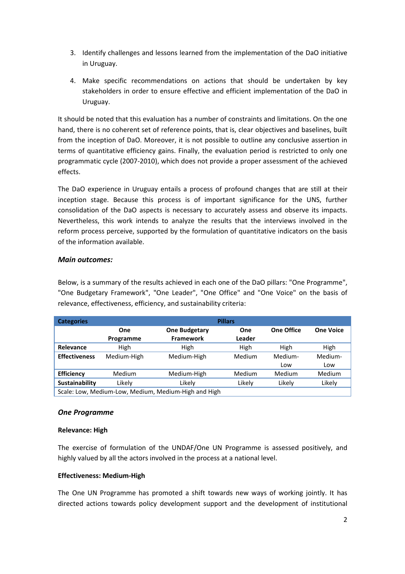- 3. Identify challenges and lessons learned from the implementation of the DaO initiative in Uruguay.
- 4. Make specific recommendations on actions that should be undertaken by key stakeholders in order to ensure effective and efficient implementation of the DaO in Uruguay.

It should be noted that this evaluation has a number of constraints and limitations. On the one hand, there is no coherent set of reference points, that is, clear objectives and baselines, built from the inception of DaO. Moreover, it is not possible to outline any conclusive assertion in terms of quantitative efficiency gains. Finally, the evaluation period is restricted to only one programmatic cycle (2007-2010), which does not provide a proper assessment of the achieved effects.

The DaO experience in Uruguay entails a process of profound changes that are still at their inception stage. Because this process is of important significance for the UNS, further consolidation of the DaO aspects is necessary to accurately assess and observe its impacts. Nevertheless, this work intends to analyze the results that the interviews involved in the reform process perceive, supported by the formulation of quantitative indicators on the basis of the information available.

# Main outcomes:

Below, is a summary of the results achieved in each one of the DaO pillars: "One Programme", "One Budgetary Framework", "One Leader", "One Office" and "One Voice" on the basis of relevance, effectiveness, efficiency, and sustainability criteria:

| <b>Categories</b>                                    | <b>Pillars</b>   |                                          |                      |            |                  |
|------------------------------------------------------|------------------|------------------------------------------|----------------------|------------|------------------|
|                                                      | One<br>Programme | <b>One Budgetary</b><br><b>Framework</b> | <b>One</b><br>Leader | One Office | <b>One Voice</b> |
| Relevance                                            | High             | High                                     | High                 | High       | High             |
| <b>Effectiveness</b>                                 | Medium-High      | Medium-High                              | Medium               | Medium-    | Medium-          |
|                                                      |                  |                                          |                      | Low        | Low              |
| <b>Efficiency</b>                                    | <b>Medium</b>    | Medium-High                              | Medium               | Medium     | Medium           |
| Sustainability                                       | Likelv           | Likelv                                   | Likely               | Likely     | Likely           |
| Scale: Low, Medium-Low, Medium, Medium-High and High |                  |                                          |                      |            |                  |

# One Programme

# Relevance: High

The exercise of formulation of the UNDAF/One UN Programme is assessed positively, and highly valued by all the actors involved in the process at a national level.

# Effectiveness: Medium-High

The One UN Programme has promoted a shift towards new ways of working jointly. It has directed actions towards policy development support and the development of institutional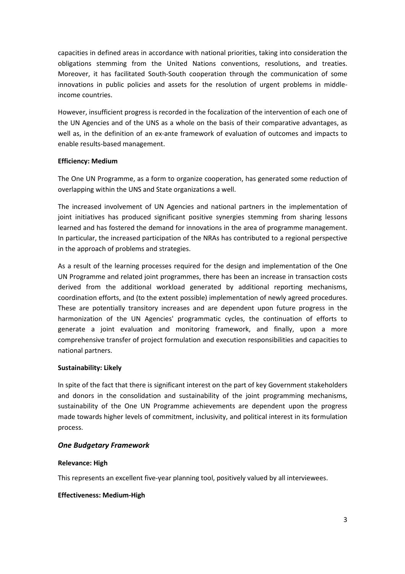capacities in defined areas in accordance with national priorities, taking into consideration the obligations stemming from the United Nations conventions, resolutions, and treaties. Moreover, it has facilitated South-South cooperation through the communication of some innovations in public policies and assets for the resolution of urgent problems in middleincome countries.

However, insufficient progress is recorded in the focalization of the intervention of each one of the UN Agencies and of the UNS as a whole on the basis of their comparative advantages, as well as, in the definition of an ex-ante framework of evaluation of outcomes and impacts to enable results-based management.

#### Efficiency: Medium

The One UN Programme, as a form to organize cooperation, has generated some reduction of overlapping within the UNS and State organizations a well.

The increased involvement of UN Agencies and national partners in the implementation of joint initiatives has produced significant positive synergies stemming from sharing lessons learned and has fostered the demand for innovations in the area of programme management. In particular, the increased participation of the NRAs has contributed to a regional perspective in the approach of problems and strategies.

As a result of the learning processes required for the design and implementation of the One UN Programme and related joint programmes, there has been an increase in transaction costs derived from the additional workload generated by additional reporting mechanisms, coordination efforts, and (to the extent possible) implementation of newly agreed procedures. These are potentially transitory increases and are dependent upon future progress in the harmonization of the UN Agencies' programmatic cycles, the continuation of efforts to generate a joint evaluation and monitoring framework, and finally, upon a more comprehensive transfer of project formulation and execution responsibilities and capacities to national partners.

#### Sustainability: Likely

In spite of the fact that there is significant interest on the part of key Government stakeholders and donors in the consolidation and sustainability of the joint programming mechanisms, sustainability of the One UN Programme achievements are dependent upon the progress made towards higher levels of commitment, inclusivity, and political interest in its formulation process.

# One Budgetary Framework

#### Relevance: High

This represents an excellent five-year planning tool, positively valued by all interviewees.

#### Effectiveness: Medium-High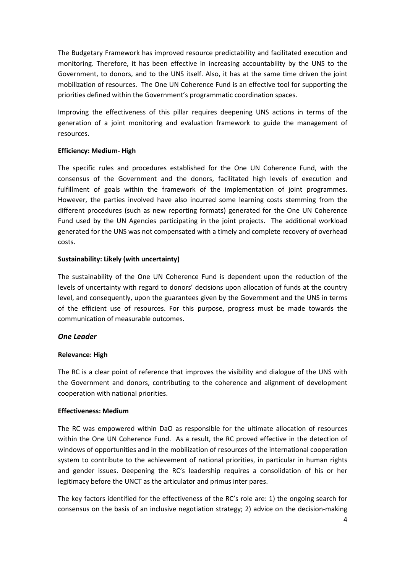The Budgetary Framework has improved resource predictability and facilitated execution and monitoring. Therefore, it has been effective in increasing accountability by the UNS to the Government, to donors, and to the UNS itself. Also, it has at the same time driven the joint mobilization of resources. The One UN Coherence Fund is an effective tool for supporting the priorities defined within the Government's programmatic coordination spaces.

Improving the effectiveness of this pillar requires deepening UNS actions in terms of the generation of a joint monitoring and evaluation framework to guide the management of resources.

#### Efficiency: Medium- High

The specific rules and procedures established for the One UN Coherence Fund, with the consensus of the Government and the donors, facilitated high levels of execution and fulfillment of goals within the framework of the implementation of joint programmes. However, the parties involved have also incurred some learning costs stemming from the different procedures (such as new reporting formats) generated for the One UN Coherence Fund used by the UN Agencies participating in the joint projects. The additional workload generated for the UNS was not compensated with a timely and complete recovery of overhead costs.

#### Sustainability: Likely (with uncertainty)

The sustainability of the One UN Coherence Fund is dependent upon the reduction of the levels of uncertainty with regard to donors' decisions upon allocation of funds at the country level, and consequently, upon the guarantees given by the Government and the UNS in terms of the efficient use of resources. For this purpose, progress must be made towards the communication of measurable outcomes.

# One Leader

# Relevance: High

The RC is a clear point of reference that improves the visibility and dialogue of the UNS with the Government and donors, contributing to the coherence and alignment of development cooperation with national priorities.

#### Effectiveness: Medium

The RC was empowered within DaO as responsible for the ultimate allocation of resources within the One UN Coherence Fund. As a result, the RC proved effective in the detection of windows of opportunities and in the mobilization of resources of the international cooperation system to contribute to the achievement of national priorities, in particular in human rights and gender issues. Deepening the RC's leadership requires a consolidation of his or her legitimacy before the UNCT as the articulator and primus inter pares.

The key factors identified for the effectiveness of the RC's role are: 1) the ongoing search for consensus on the basis of an inclusive negotiation strategy; 2) advice on the decision-making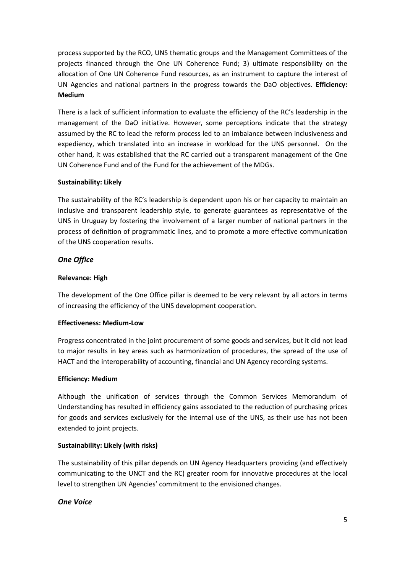process supported by the RCO, UNS thematic groups and the Management Committees of the projects financed through the One UN Coherence Fund; 3) ultimate responsibility on the allocation of One UN Coherence Fund resources, as an instrument to capture the interest of UN Agencies and national partners in the progress towards the DaO objectives. Efficiency: Medium

There is a lack of sufficient information to evaluate the efficiency of the RC's leadership in the management of the DaO initiative. However, some perceptions indicate that the strategy assumed by the RC to lead the reform process led to an imbalance between inclusiveness and expediency, which translated into an increase in workload for the UNS personnel. On the other hand, it was established that the RC carried out a transparent management of the One UN Coherence Fund and of the Fund for the achievement of the MDGs.

# Sustainability: Likely

The sustainability of the RC's leadership is dependent upon his or her capacity to maintain an inclusive and transparent leadership style, to generate guarantees as representative of the UNS in Uruguay by fostering the involvement of a larger number of national partners in the process of definition of programmatic lines, and to promote a more effective communication of the UNS cooperation results.

# One Office

# Relevance: High

The development of the One Office pillar is deemed to be very relevant by all actors in terms of increasing the efficiency of the UNS development cooperation.

# Effectiveness: Medium-Low

Progress concentrated in the joint procurement of some goods and services, but it did not lead to major results in key areas such as harmonization of procedures, the spread of the use of HACT and the interoperability of accounting, financial and UN Agency recording systems.

# Efficiency: Medium

Although the unification of services through the Common Services Memorandum of Understanding has resulted in efficiency gains associated to the reduction of purchasing prices for goods and services exclusively for the internal use of the UNS, as their use has not been extended to joint projects.

# Sustainability: Likely (with risks)

The sustainability of this pillar depends on UN Agency Headquarters providing (and effectively communicating to the UNCT and the RC) greater room for innovative procedures at the local level to strengthen UN Agencies' commitment to the envisioned changes.

# One Voice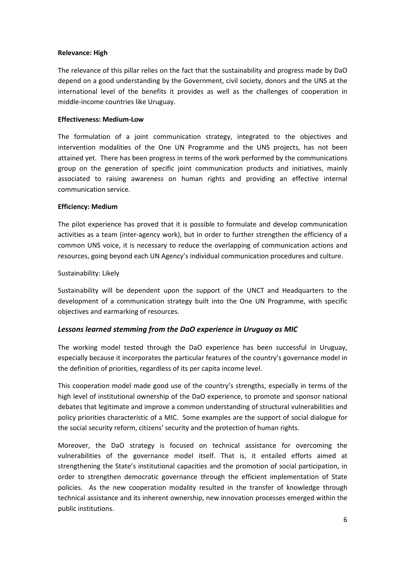#### Relevance: High

The relevance of this pillar relies on the fact that the sustainability and progress made by DaO depend on a good understanding by the Government, civil society, donors and the UNS at the international level of the benefits it provides as well as the challenges of cooperation in middle-income countries like Uruguay.

#### Effectiveness: Medium-Low

The formulation of a joint communication strategy, integrated to the objectives and intervention modalities of the One UN Programme and the UNS projects, has not been attained yet. There has been progress in terms of the work performed by the communications group on the generation of specific joint communication products and initiatives, mainly associated to raising awareness on human rights and providing an effective internal communication service.

#### Efficiency: Medium

The pilot experience has proved that it is possible to formulate and develop communication activities as a team (inter-agency work), but in order to further strengthen the efficiency of a common UNS voice, it is necessary to reduce the overlapping of communication actions and resources, going beyond each UN Agency's individual communication procedures and culture.

#### Sustainability: Likely

Sustainability will be dependent upon the support of the UNCT and Headquarters to the development of a communication strategy built into the One UN Programme, with specific objectives and earmarking of resources.

# Lessons learned stemming from the DaO experience in Uruguay as MIC

The working model tested through the DaO experience has been successful in Uruguay, especially because it incorporates the particular features of the country's governance model in the definition of priorities, regardless of its per capita income level.

This cooperation model made good use of the country's strengths, especially in terms of the high level of institutional ownership of the DaO experience, to promote and sponsor national debates that legitimate and improve a common understanding of structural vulnerabilities and policy priorities characteristic of a MIC. Some examples are the support of social dialogue for the social security reform, citizens' security and the protection of human rights.

Moreover, the DaO strategy is focused on technical assistance for overcoming the vulnerabilities of the governance model itself. That is, it entailed efforts aimed at strengthening the State's institutional capacities and the promotion of social participation, in order to strengthen democratic governance through the efficient implementation of State policies. As the new cooperation modality resulted in the transfer of knowledge through technical assistance and its inherent ownership, new innovation processes emerged within the public institutions.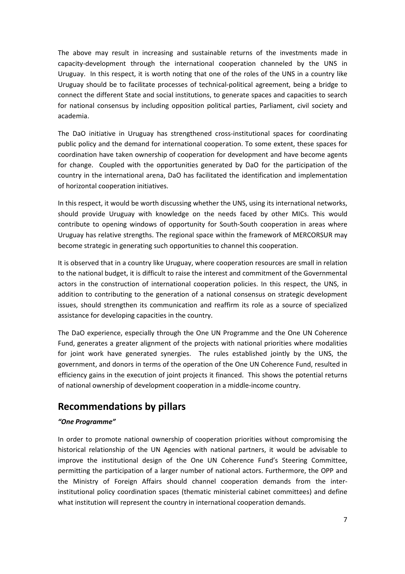The above may result in increasing and sustainable returns of the investments made in capacity-development through the international cooperation channeled by the UNS in Uruguay. In this respect, it is worth noting that one of the roles of the UNS in a country like Uruguay should be to facilitate processes of technical-political agreement, being a bridge to connect the different State and social institutions, to generate spaces and capacities to search for national consensus by including opposition political parties, Parliament, civil society and academia.

The DaO initiative in Uruguay has strengthened cross-institutional spaces for coordinating public policy and the demand for international cooperation. To some extent, these spaces for coordination have taken ownership of cooperation for development and have become agents for change. Coupled with the opportunities generated by DaO for the participation of the country in the international arena, DaO has facilitated the identification and implementation of horizontal cooperation initiatives.

In this respect, it would be worth discussing whether the UNS, using its international networks, should provide Uruguay with knowledge on the needs faced by other MICs. This would contribute to opening windows of opportunity for South-South cooperation in areas where Uruguay has relative strengths. The regional space within the framework of MERCORSUR may become strategic in generating such opportunities to channel this cooperation.

It is observed that in a country like Uruguay, where cooperation resources are small in relation to the national budget, it is difficult to raise the interest and commitment of the Governmental actors in the construction of international cooperation policies. In this respect, the UNS, in addition to contributing to the generation of a national consensus on strategic development issues, should strengthen its communication and reaffirm its role as a source of specialized assistance for developing capacities in the country.

The DaO experience, especially through the One UN Programme and the One UN Coherence Fund, generates a greater alignment of the projects with national priorities where modalities for joint work have generated synergies. The rules established jointly by the UNS, the government, and donors in terms of the operation of the One UN Coherence Fund, resulted in efficiency gains in the execution of joint projects it financed. This shows the potential returns of national ownership of development cooperation in a middle-income country.

# Recommendations by pillars

# "One Programme"

In order to promote national ownership of cooperation priorities without compromising the historical relationship of the UN Agencies with national partners, it would be advisable to improve the institutional design of the One UN Coherence Fund's Steering Committee, permitting the participation of a larger number of national actors. Furthermore, the OPP and the Ministry of Foreign Affairs should channel cooperation demands from the interinstitutional policy coordination spaces (thematic ministerial cabinet committees) and define what institution will represent the country in international cooperation demands.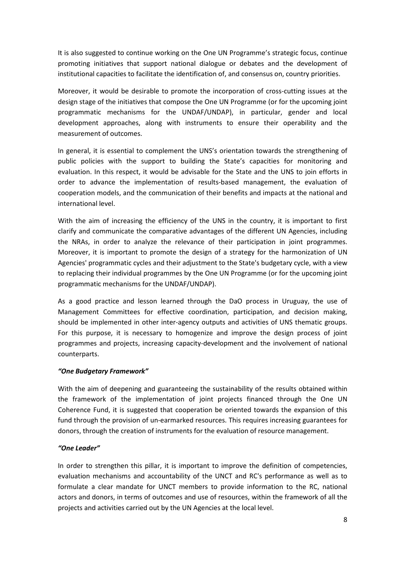It is also suggested to continue working on the One UN Programme's strategic focus, continue promoting initiatives that support national dialogue or debates and the development of institutional capacities to facilitate the identification of, and consensus on, country priorities.

Moreover, it would be desirable to promote the incorporation of cross-cutting issues at the design stage of the initiatives that compose the One UN Programme (or for the upcoming joint programmatic mechanisms for the UNDAF/UNDAP), in particular, gender and local development approaches, along with instruments to ensure their operability and the measurement of outcomes.

In general, it is essential to complement the UNS's orientation towards the strengthening of public policies with the support to building the State's capacities for monitoring and evaluation. In this respect, it would be advisable for the State and the UNS to join efforts in order to advance the implementation of results-based management, the evaluation of cooperation models, and the communication of their benefits and impacts at the national and international level.

With the aim of increasing the efficiency of the UNS in the country, it is important to first clarify and communicate the comparative advantages of the different UN Agencies, including the NRAs, in order to analyze the relevance of their participation in joint programmes. Moreover, it is important to promote the design of a strategy for the harmonization of UN Agencies' programmatic cycles and their adjustment to the State's budgetary cycle, with a view to replacing their individual programmes by the One UN Programme (or for the upcoming joint programmatic mechanisms for the UNDAF/UNDAP).

As a good practice and lesson learned through the DaO process in Uruguay, the use of Management Committees for effective coordination, participation, and decision making, should be implemented in other inter-agency outputs and activities of UNS thematic groups. For this purpose, it is necessary to homogenize and improve the design process of joint programmes and projects, increasing capacity-development and the involvement of national counterparts.

# "One Budgetary Framework"

With the aim of deepening and guaranteeing the sustainability of the results obtained within the framework of the implementation of joint projects financed through the One UN Coherence Fund, it is suggested that cooperation be oriented towards the expansion of this fund through the provision of un-earmarked resources. This requires increasing guarantees for donors, through the creation of instruments for the evaluation of resource management.

#### "One Leader"

In order to strengthen this pillar, it is important to improve the definition of competencies, evaluation mechanisms and accountability of the UNCT and RC's performance as well as to formulate a clear mandate for UNCT members to provide information to the RC, national actors and donors, in terms of outcomes and use of resources, within the framework of all the projects and activities carried out by the UN Agencies at the local level.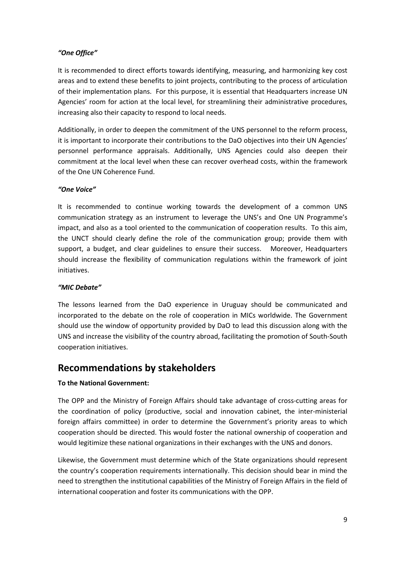# "One Office"

It is recommended to direct efforts towards identifying, measuring, and harmonizing key cost areas and to extend these benefits to joint projects, contributing to the process of articulation of their implementation plans. For this purpose, it is essential that Headquarters increase UN Agencies' room for action at the local level, for streamlining their administrative procedures, increasing also their capacity to respond to local needs.

Additionally, in order to deepen the commitment of the UNS personnel to the reform process, it is important to incorporate their contributions to the DaO objectives into their UN Agencies' personnel performance appraisals. Additionally, UNS Agencies could also deepen their commitment at the local level when these can recover overhead costs, within the framework of the One UN Coherence Fund.

# "One Voice"

It is recommended to continue working towards the development of a common UNS communication strategy as an instrument to leverage the UNS's and One UN Programme's impact, and also as a tool oriented to the communication of cooperation results. To this aim, the UNCT should clearly define the role of the communication group; provide them with support, a budget, and clear guidelines to ensure their success. Moreover, Headquarters should increase the flexibility of communication regulations within the framework of joint initiatives.

# "MIC Debate"

The lessons learned from the DaO experience in Uruguay should be communicated and incorporated to the debate on the role of cooperation in MICs worldwide. The Government should use the window of opportunity provided by DaO to lead this discussion along with the UNS and increase the visibility of the country abroad, facilitating the promotion of South-South cooperation initiatives.

# Recommendations by stakeholders

# To the National Government:

The OPP and the Ministry of Foreign Affairs should take advantage of cross-cutting areas for the coordination of policy (productive, social and innovation cabinet, the inter-ministerial foreign affairs committee) in order to determine the Government's priority areas to which cooperation should be directed. This would foster the national ownership of cooperation and would legitimize these national organizations in their exchanges with the UNS and donors.

Likewise, the Government must determine which of the State organizations should represent the country's cooperation requirements internationally. This decision should bear in mind the need to strengthen the institutional capabilities of the Ministry of Foreign Affairs in the field of international cooperation and foster its communications with the OPP.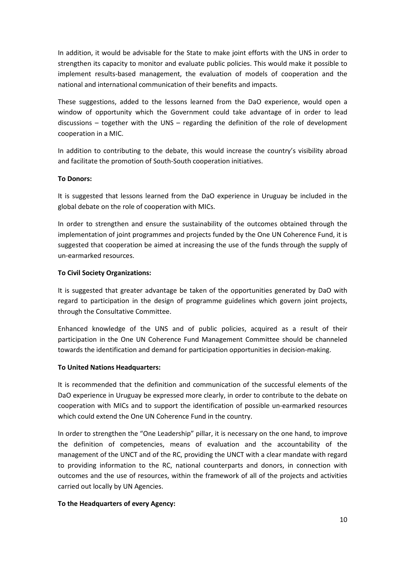In addition, it would be advisable for the State to make joint efforts with the UNS in order to strengthen its capacity to monitor and evaluate public policies. This would make it possible to implement results-based management, the evaluation of models of cooperation and the national and international communication of their benefits and impacts.

These suggestions, added to the lessons learned from the DaO experience, would open a window of opportunity which the Government could take advantage of in order to lead discussions – together with the UNS – regarding the definition of the role of development cooperation in a MIC.

In addition to contributing to the debate, this would increase the country's visibility abroad and facilitate the promotion of South-South cooperation initiatives.

# To Donors:

It is suggested that lessons learned from the DaO experience in Uruguay be included in the global debate on the role of cooperation with MICs.

In order to strengthen and ensure the sustainability of the outcomes obtained through the implementation of joint programmes and projects funded by the One UN Coherence Fund, it is suggested that cooperation be aimed at increasing the use of the funds through the supply of un-earmarked resources.

#### To Civil Society Organizations:

It is suggested that greater advantage be taken of the opportunities generated by DaO with regard to participation in the design of programme guidelines which govern joint projects, through the Consultative Committee.

Enhanced knowledge of the UNS and of public policies, acquired as a result of their participation in the One UN Coherence Fund Management Committee should be channeled towards the identification and demand for participation opportunities in decision-making.

#### To United Nations Headquarters:

It is recommended that the definition and communication of the successful elements of the DaO experience in Uruguay be expressed more clearly, in order to contribute to the debate on cooperation with MICs and to support the identification of possible un-earmarked resources which could extend the One UN Coherence Fund in the country.

In order to strengthen the "One Leadership" pillar, it is necessary on the one hand, to improve the definition of competencies, means of evaluation and the accountability of the management of the UNCT and of the RC, providing the UNCT with a clear mandate with regard to providing information to the RC, national counterparts and donors, in connection with outcomes and the use of resources, within the framework of all of the projects and activities carried out locally by UN Agencies.

#### To the Headquarters of every Agency: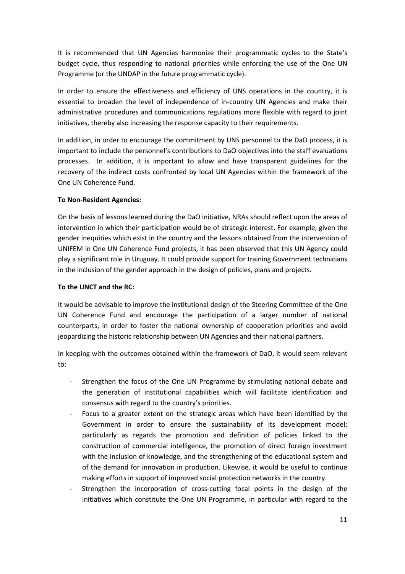It is recommended that UN Agencies harmonize their programmatic cycles to the State's budget cycle, thus responding to national priorities while enforcing the use of the One UN Programme (or the UNDAP in the future programmatic cycle).

In order to ensure the effectiveness and efficiency of UNS operations in the country, it is essential to broaden the level of independence of in-country UN Agencies and make their administrative procedures and communications regulations more flexible with regard to joint initiatives, thereby also increasing the response capacity to their requirements.

In addition, in order to encourage the commitment by UNS personnel to the DaO process, it is important to include the personnel's contributions to DaO objectives into the staff evaluations processes. In addition, it is important to allow and have transparent guidelines for the recovery of the indirect costs confronted by local UN Agencies within the framework of the One UN Coherence Fund.

# To Non-Resident Agencies:

On the basis of lessons learned during the DaO initiative, NRAs should reflect upon the areas of intervention in which their participation would be of strategic interest. For example, given the gender inequities which exist in the country and the lessons obtained from the intervention of UNIFEM in One UN Coherence Fund projects, it has been observed that this UN Agency could play a significant role in Uruguay. It could provide support for training Government technicians in the inclusion of the gender approach in the design of policies, plans and projects.

#### To the UNCT and the RC:

It would be advisable to improve the institutional design of the Steering Committee of the One UN Coherence Fund and encourage the participation of a larger number of national counterparts, in order to foster the national ownership of cooperation priorities and avoid jeopardizing the historic relationship between UN Agencies and their national partners.

In keeping with the outcomes obtained within the framework of DaO, it would seem relevant to:

- Strengthen the focus of the One UN Programme by stimulating national debate and the generation of institutional capabilities which will facilitate identification and consensus with regard to the country's priorities.
- Focus to a greater extent on the strategic areas which have been identified by the Government in order to ensure the sustainability of its development model; particularly as regards the promotion and definition of policies linked to the construction of commercial intelligence, the promotion of direct foreign investment with the inclusion of knowledge, and the strengthening of the educational system and of the demand for innovation in production. Likewise, it would be useful to continue making efforts in support of improved social protection networks in the country.
- Strengthen the incorporation of cross-cutting focal points in the design of the initiatives which constitute the One UN Programme, in particular with regard to the